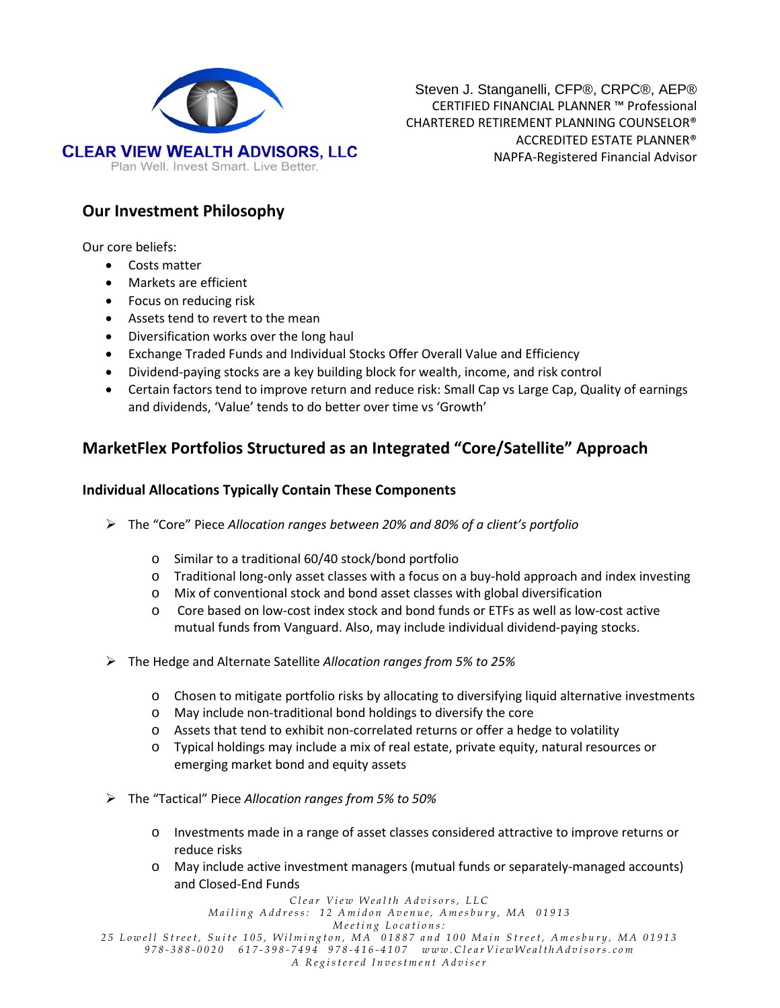

Steven J. Stanganelli, CFP®, CRPC®, AEP® CERTIFIED FINANCIAL PLANNER ™ Professional CHARTERED RETIREMENT PLANNING COUNSELOR® ACCREDITED ESTATE PLANNER® NAPFA-Registered Financial Advisor

## **Our Investment Philosophy**

Our core beliefs:

- Costs matter
- Markets are efficient
- Focus on reducing risk
- Assets tend to revert to the mean
- Diversification works over the long haul
- Exchange Traded Funds and Individual Stocks Offer Overall Value and Efficiency
- Dividend-paying stocks are a key building block for wealth, income, and risk control
- Certain factors tend to improve return and reduce risk: Small Cap vs Large Cap, Quality of earnings and dividends, 'Value' tends to do better over time vs 'Growth'

## **MarketFlex Portfolios Structured as an Integrated "Core/Satellite" Approach**

## **Individual Allocations Typically Contain These Components**

- The "Core" Piece *Allocation ranges between 20% and 80% of a client's portfolio*
	- o Similar to a traditional 60/40 stock/bond portfolio
	- o Traditional long-only asset classes with a focus on a buy-hold approach and index investing
	- o Mix of conventional stock and bond asset classes with global diversification
	- o Core based on low-cost index stock and bond funds or ETFs as well as low-cost active mutual funds from Vanguard. Also, may include individual dividend-paying stocks.
- The Hedge and Alternate Satellite *Allocation ranges from 5% to 25%*
	- o Chosen to mitigate portfolio risks by allocating to diversifying liquid alternative investments
	- o May include non-traditional bond holdings to diversify the core
	- o Assets that tend to exhibit non-correlated returns or offer a hedge to volatility
	- o Typical holdings may include a mix of real estate, private equity, natural resources or emerging market bond and equity assets
- The "Tactical" Piece *Allocation ranges from 5% to 50%*
	- o Investments made in a range of asset classes considered attractive to improve returns or reduce risks
	- o May include active investment managers (mutual funds or separately-managed accounts) and Closed-End Funds

*Clear View Wealth Advisors, LLC Mailing Address: 12 Amidon Avenue, Amesbury, MA 01913* 

*M e e t i n g L o c a t i o n s :* 

*2 5 L o w e l l S t r e e t , S u i t e 1 0 5 , W i l m i n g t o n , M A 0 1 8 8 7 a n d 1 0 0 M a i n S t r e e t , A m e s b u r y , M A 0 1 9 1 3 9 7 8 - 3 8 8 - 0 0 2 0 6 1 7 - 3 9 8 - 7 4 9 4 9 7 8 - 4 1 6 - 4 1 0 7 w w w . C l e a r V i e w W e a l t h A d v i s o r s . c o m A R e g i s t e r e d I n v e s t m e n t A d v i s e r*